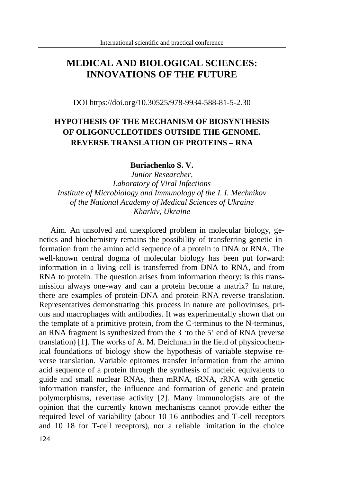## **MEDICAL AND BIOLOGICAL SCIENCES: INNOVATIONS OF THE FUTURE**

DOI https://doi.org/10.30525/978-9934-588-81-5-2.30

## **HYPOTHESIS OF THE MECHANISM OF BIOSYNTHESIS OF OLIGONUCLEOTIDES OUTSIDE THE GENOME. REVERSE TRANSLATION OF PROTEINS – RNA**

## **Buriachenko S. V.**

*Junior Researcher, Laboratory of Viral Infections Institute of Microbiology and Immunology of the I. I. Mechnikov of the National Academy of Medical Sciences of Ukraine Kharkiv, Ukraine*

Aim. An unsolved and unexplored problem in molecular biology, genetics and biochemistry remains the possibility of transferring genetic information from the amino acid sequence of a protein to DNA or RNA. The well-known central dogma of molecular biology has been put forward: information in a living cell is transferred from DNA to RNA, and from RNA to protein. The question arises from information theory: is this transmission always one-way and can a protein become a matrix? In nature, there are examples of protein-DNA and protein-RNA reverse translation. Representatives demonstrating this process in nature are polioviruses, prions and macrophages with antibodies. It was experimentally shown that on the template of a primitive protein, from the C-terminus to the N-terminus, an RNA fragment is synthesized from the 3 'to the 5' end of RNA (reverse translation) [1]. The works of A. M. Deichman in the field of physicochemical foundations of biology show the hypothesis of variable stepwise reverse translation. Variable epitomes transfer information from the amino acid sequence of a protein through the synthesis of nucleic equivalents to guide and small nuclear RNAs, then mRNA, tRNA, rRNA with genetic information transfer, the influence and formation of genetic and protein polymorphisms, revertase activity [2]. Many immunologists are of the opinion that the currently known mechanisms cannot provide either the required level of variability (about 10 16 antibodies and T-cell receptors and 10 18 for T-cell receptors), nor a reliable limitation in the choice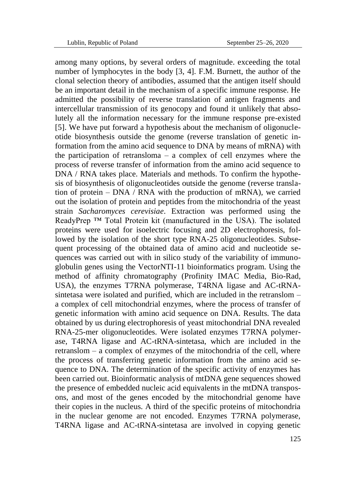among many options, by several orders of magnitude. exceeding the total number of lymphocytes in the body [3, 4]. F.M. Burnett, the author of the clonal selection theory of antibodies, assumed that the antigen itself should be an important detail in the mechanism of a specific immune response. He admitted the possibility of reverse translation of antigen fragments and intercellular transmission of its genocopy and found it unlikely that absolutely all the information necessary for the immune response pre-existed [5]. We have put forward a hypothesis about the mechanism of oligonucleotide biosynthesis outside the genome (reverse translation of genetic information from the amino acid sequence to DNA by means of mRNA) with the participation of retransloma – a complex of cell enzymes where the process of reverse transfer of information from the amino acid sequence to DNA / RNA takes place. Materials and methods. To confirm the hypothesis of biosynthesis of oligonucleotides outside the genome (reverse translation of protein – DNA / RNA with the production of mRNA), we carried out the isolation of protein and peptides from the mitochondria of the yeast strain *Sacharomyces cerevisiae*. Extraction was performed using the ReadyPrep<sup>™</sup> Total Protein kit (manufactured in the USA). The isolated proteins were used for isoelectric focusing and 2D electrophoresis, followed by the isolation of the short type RNA-25 oligonucleotides. Subsequent processing of the obtained data of amino acid and nucleotide sequences was carried out with in silico study of the variability of immunoglobulin genes using the VectorNTI-11 bioinformatics program. Using the method of affinity chromatography (Profinity IMAC Media, Bio-Rad, USA), the enzymes T7RNA polymerase, T4RNA ligase and AC-tRNAsintetasa were isolated and purified, which are included in the retranslom – a complex of cell mitochondrial enzymes, where the process of transfer of genetic information with amino acid sequence on DNA. Results. The data obtained by us during electrophoresis of yeast mitochondrial DNA revealed RNA-25-mer oligonucleotides. Were isolated enzymes T7RNA polymerase, T4RNA ligase and AC-tRNA-sintetasa, which are included in the retranslom – a complex of enzymes of the mitochondria of the cell, where the process of transferring genetic information from the amino acid sequence to DNA. The determination of the specific activity of enzymes has been carried out. Bioinformatic analysis of mtDNA gene sequences showed the presence of embedded nucleic acid equivalents in the mtDNA transposons, and most of the genes encoded by the mitochondrial genome have their copies in the nucleus. A third of the specific proteins of mitochondria in the nuclear genome are not encoded. Enzymes T7RNA polymerase, T4RNA ligase and AC-tRNA-sintetasa are involved in copying genetic